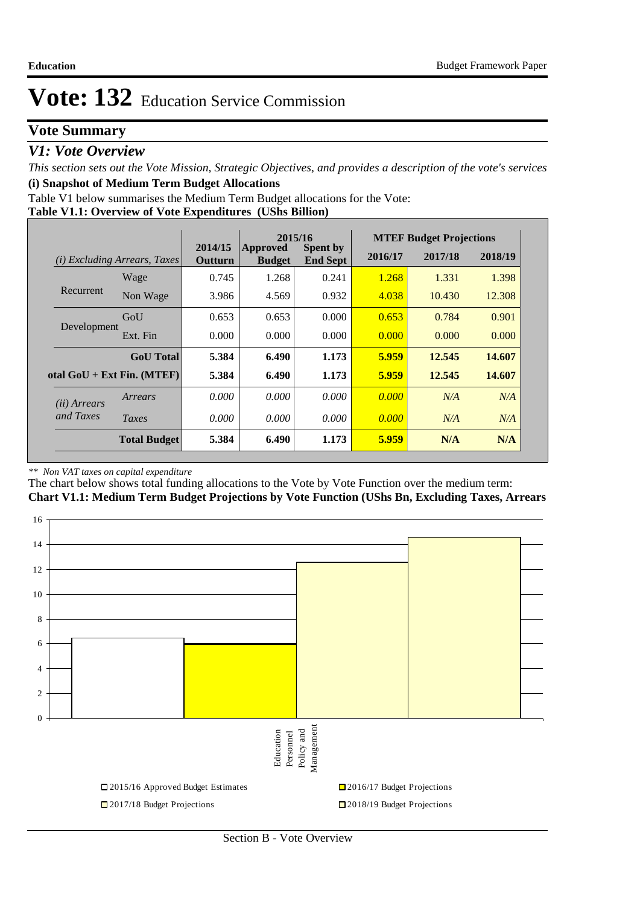## **Vote Summary**

## *V1: Vote Overview*

*This section sets out the Vote Mission, Strategic Objectives, and provides a description of the vote's services* **(i) Snapshot of Medium Term Budget Allocations** 

Table V1 below summarises the Medium Term Budget allocations for the Vote:

## **Table V1.1: Overview of Vote Expenditures (UShs Billion)**

|                       |                                 |                           | 2015/16                   |                                    |         | <b>MTEF Budget Projections</b> |         |
|-----------------------|---------------------------------|---------------------------|---------------------------|------------------------------------|---------|--------------------------------|---------|
| (i)                   | <i>Excluding Arrears, Taxes</i> | 2014/15<br><b>Outturn</b> | Approved<br><b>Budget</b> | <b>Spent by</b><br><b>End Sept</b> | 2016/17 | 2017/18                        | 2018/19 |
|                       | Wage                            | 0.745                     | 1.268                     | 0.241                              | 1.268   | 1.331                          | 1.398   |
| Recurrent             | Non Wage                        | 3.986                     | 4.569                     | 0.932                              | 4.038   | 10.430                         | 12.308  |
|                       | GoU                             | 0.653                     | 0.653                     | 0.000                              | 0.653   | 0.784                          | 0.901   |
| Development           | Ext. Fin                        | 0.000                     | 0.000                     | 0.000                              | 0.000   | 0.000                          | 0.000   |
|                       | <b>GoU</b> Total                | 5.384                     | 6.490                     | 1.173                              | 5.959   | 12.545                         | 14.607  |
|                       | otal $GoU + Ext Fin. (MTEF)$    | 5.384                     | 6.490                     | 1.173                              | 5.959   | 12.545                         | 14.607  |
| ( <i>ii</i> ) Arrears | Arrears                         | 0.000                     | 0.000                     | 0.000                              | 0.000   | N/A                            | N/A     |
| and Taxes             | Taxes                           | 0.000                     | 0.000                     | 0.000                              | 0.000   | N/A                            | N/A     |
|                       | <b>Total Budget</b>             | 5.384                     | 6.490                     | 1.173                              | 5.959   | N/A                            | N/A     |

#### *\*\* Non VAT taxes on capital expenditure*

The chart below shows total funding allocations to the Vote by Vote Function over the medium term: **Chart V1.1: Medium Term Budget Projections by Vote Function (UShs Bn, Excluding Taxes, Arrears**

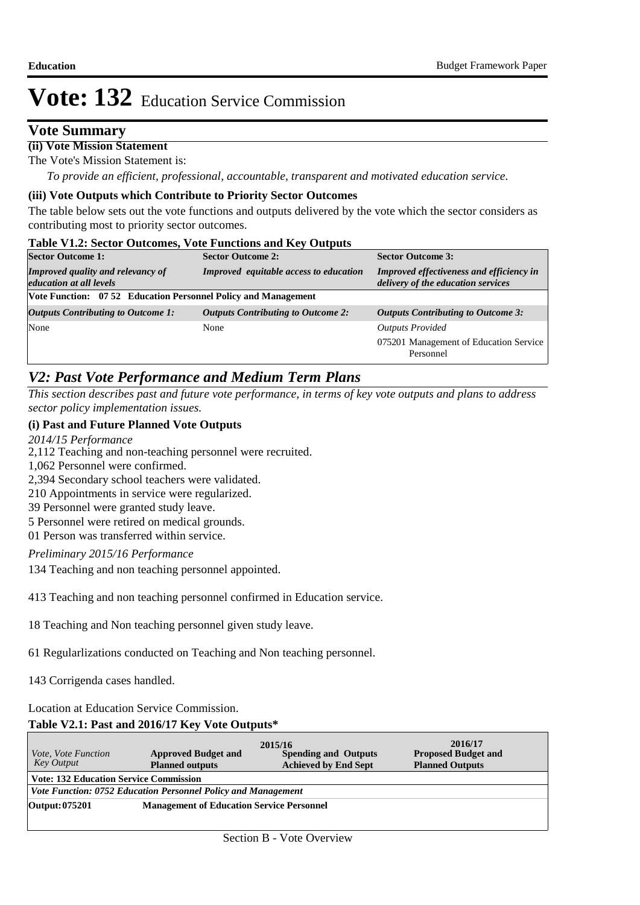## **Vote Summary**

## **(ii) Vote Mission Statement**

The Vote's Mission Statement is:

*To provide an efficient, professional, accountable, transparent and motivated education service.*

## **(iii) Vote Outputs which Contribute to Priority Sector Outcomes**

The table below sets out the vote functions and outputs delivered by the vote which the sector considers as contributing most to priority sector outcomes.

### **Table V1.2: Sector Outcomes, Vote Functions and Key Outputs**

| <b>Sector Outcome 1:</b>                                                   | <b>Sector Outcome 2:</b>                  | <b>Sector Outcome 3:</b>                                                       |  |  |  |  |  |
|----------------------------------------------------------------------------|-------------------------------------------|--------------------------------------------------------------------------------|--|--|--|--|--|
| <b>Improved quality and relevancy of</b><br><i>education at all levels</i> | Improved equitable access to education    | Improved effectiveness and efficiency in<br>delivery of the education services |  |  |  |  |  |
| Vote Function: 07 52 Education Personnel Policy and Management             |                                           |                                                                                |  |  |  |  |  |
| <b>Outputs Contributing to Outcome 1:</b>                                  | <b>Outputs Contributing to Outcome 2:</b> | <b>Outputs Contributing to Outcome 3:</b>                                      |  |  |  |  |  |
| None                                                                       | None                                      | <b>Outputs Provided</b>                                                        |  |  |  |  |  |
|                                                                            |                                           | 075201 Management of Education Service<br>Personnel                            |  |  |  |  |  |

## *V2: Past Vote Performance and Medium Term Plans*

*This section describes past and future vote performance, in terms of key vote outputs and plans to address sector policy implementation issues.* 

## **(i) Past and Future Planned Vote Outputs**

*2014/15 Performance*

- 2,112 Teaching and non-teaching personnel were recruited.
- 1,062 Personnel were confirmed.
- 2,394 Secondary school teachers were validated.
- 210 Appointments in service were regularized.
- 39 Personnel were granted study leave.
- 5 Personnel were retired on medical grounds.
- 01 Person was transferred within service.

*Preliminary 2015/16 Performance*

134 Teaching and non teaching personnel appointed.

413 Teaching and non teaching personnel confirmed in Education service.

18 Teaching and Non teaching personnel given study leave.

61 Regularlizations conducted on Teaching and Non teaching personnel.

143 Corrigenda cases handled.

## Location at Education Service Commission.

## **Table V2.1: Past and 2016/17 Key Vote Outputs\***

| <i>Vote, Vote Function</i><br>Key Output      | <b>Approved Budget and</b><br><b>Planned outputs</b>          | 2015/16<br><b>Spending and Outputs</b><br><b>Achieved by End Sept</b> | 2016/17<br><b>Proposed Budget and</b><br><b>Planned Outputs</b> |  |  |  |  |  |
|-----------------------------------------------|---------------------------------------------------------------|-----------------------------------------------------------------------|-----------------------------------------------------------------|--|--|--|--|--|
| <b>Vote: 132 Education Service Commission</b> |                                                               |                                                                       |                                                                 |  |  |  |  |  |
|                                               | Vote Function: 0752 Education Personnel Policy and Management |                                                                       |                                                                 |  |  |  |  |  |
| Output: 075201                                | <b>Management of Education Service Personnel</b>              |                                                                       |                                                                 |  |  |  |  |  |
|                                               |                                                               |                                                                       |                                                                 |  |  |  |  |  |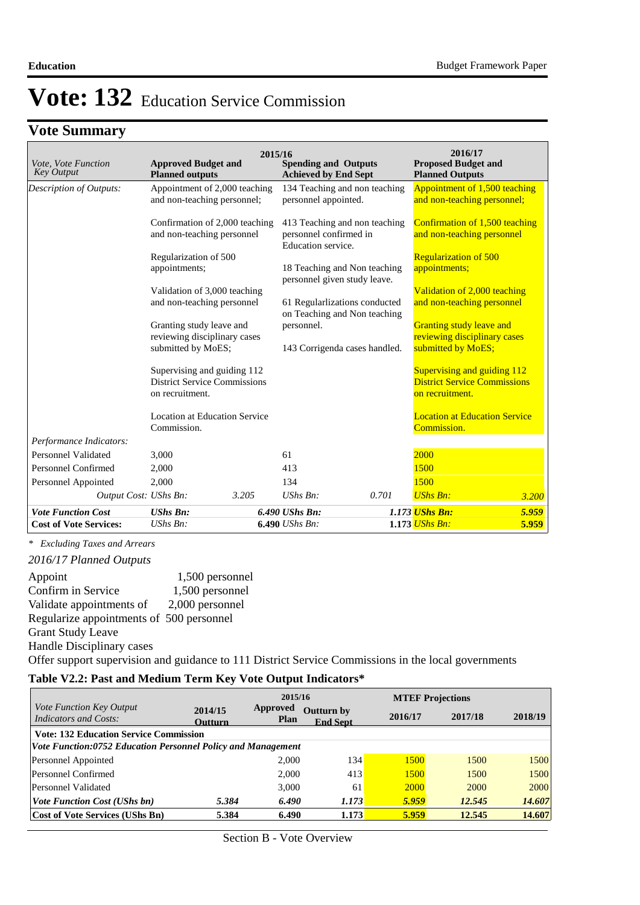# **Vote Summary**

| Vote, Vote Function<br><b>Key Output</b> | <b>Approved Budget and</b><br><b>Planned outputs</b> | 2015/16 | <b>Spending and Outputs</b><br><b>Achieved by End Sept</b>    |       | 2016/17<br><b>Proposed Budget and</b><br><b>Planned Outputs</b> |       |
|------------------------------------------|------------------------------------------------------|---------|---------------------------------------------------------------|-------|-----------------------------------------------------------------|-------|
| Description of Outputs:                  | Appointment of 2,000 teaching                        |         | 134 Teaching and non teaching                                 |       | Appointment of 1,500 teaching                                   |       |
|                                          | and non-teaching personnel;                          |         | personnel appointed.                                          |       | and non-teaching personnel;                                     |       |
|                                          | Confirmation of 2,000 teaching                       |         | 413 Teaching and non teaching                                 |       | Confirmation of 1,500 teaching                                  |       |
|                                          | and non-teaching personnel                           |         | personnel confirmed in<br>Education service.                  |       | and non-teaching personnel                                      |       |
|                                          | Regularization of 500                                |         |                                                               |       | <b>Regularization of 500</b>                                    |       |
|                                          | appointments;                                        |         | 18 Teaching and Non teaching<br>personnel given study leave.  |       | appointments;                                                   |       |
|                                          | Validation of 3,000 teaching                         |         |                                                               |       | Validation of 2,000 teaching                                    |       |
|                                          | and non-teaching personnel                           |         | 61 Regularlizations conducted<br>on Teaching and Non teaching |       | and non-teaching personnel                                      |       |
|                                          | Granting study leave and                             |         | personnel.                                                    |       | Granting study leave and                                        |       |
|                                          | reviewing disciplinary cases                         |         |                                                               |       | reviewing disciplinary cases                                    |       |
|                                          | submitted by MoES;                                   |         | 143 Corrigenda cases handled.                                 |       | submitted by MoES;                                              |       |
|                                          | Supervising and guiding 112                          |         |                                                               |       | Supervising and guiding 112                                     |       |
|                                          | <b>District Service Commissions</b>                  |         |                                                               |       | <b>District Service Commissions</b>                             |       |
|                                          | on recruitment.                                      |         |                                                               |       | on recruitment.                                                 |       |
|                                          | <b>Location at Education Service</b>                 |         |                                                               |       | <b>Location at Education Service</b>                            |       |
|                                          | Commission.                                          |         |                                                               |       | Commission.                                                     |       |
| Performance Indicators:                  |                                                      |         |                                                               |       |                                                                 |       |
| Personnel Validated                      | 3,000                                                |         | 61                                                            |       | 2000                                                            |       |
| Personnel Confirmed                      | 2,000                                                |         | 413                                                           |       | 1500                                                            |       |
| Personnel Appointed                      | 2,000                                                |         | 134                                                           |       | 1500                                                            |       |
| Output Cost: UShs Bn:                    |                                                      | 3.205   | $UShs Bn$ :                                                   | 0.701 | <b>UShs Bn:</b>                                                 | 3.200 |
| <b>Vote Function Cost</b>                | <b>UShs Bn:</b>                                      |         | 6.490 UShs Bn:                                                |       | 1.173 UShs Bn:                                                  | 5.959 |
| <b>Cost of Vote Services:</b>            | UShs Bn:                                             |         | 6.490 <i>UShs Bn</i> :                                        |       | 1.173 <i>UShs Bn:</i>                                           | 5.959 |

*\* Excluding Taxes and Arrears*

*2016/17 Planned Outputs*

Appoint 1,500 personnel Confirm in Service 1,500 personnel Validate appointments of 2,000 personnel Regularize appointments of 500 personnel Grant Study Leave Handle Disciplinary cases Offer support supervision and guidance to 111 District Service Commissions in the local governments

## **Table V2.2: Past and Medium Term Key Vote Output Indicators\***

|                                                              |                           | 2015/16          |                                      |             | <b>MTEF Projections</b> |         |  |  |  |  |  |  |
|--------------------------------------------------------------|---------------------------|------------------|--------------------------------------|-------------|-------------------------|---------|--|--|--|--|--|--|
| Vote Function Key Output<br><b>Indicators and Costs:</b>     | 2014/15<br><b>Outturn</b> | Approved<br>Plan | <b>Outturn by</b><br><b>End Sept</b> | 2016/17     | 2017/18                 | 2018/19 |  |  |  |  |  |  |
| <b>Vote: 132 Education Service Commission</b>                |                           |                  |                                      |             |                         |         |  |  |  |  |  |  |
| Vote Function:0752 Education Personnel Policy and Management |                           |                  |                                      |             |                         |         |  |  |  |  |  |  |
| Personnel Appointed                                          |                           | 2.000            | 134                                  | 1500        | 1500                    | 1500    |  |  |  |  |  |  |
| Personnel Confirmed                                          |                           | 2,000            | 413                                  | 1500        | 1500                    | 1500    |  |  |  |  |  |  |
| Personnel Validated                                          |                           | 3.000            | 61                                   | <b>2000</b> | 2000                    | 2000    |  |  |  |  |  |  |
| <i>Vote Function Cost (UShs bn)</i>                          | 5.384                     | 6.490            | 1.173                                | 5.959       | 12.545                  | 14.607  |  |  |  |  |  |  |
| <b>Cost of Vote Services (UShs Bn)</b>                       | 5.384                     | 6.490            | 1.173                                | 5.959       | 12.545                  | 14.607  |  |  |  |  |  |  |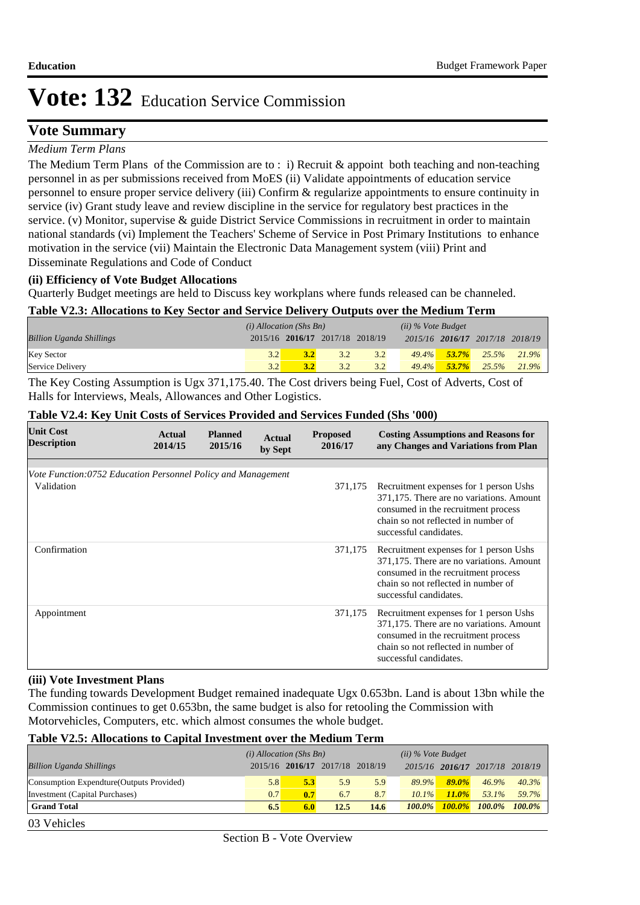## **Vote Summary**

## *Medium Term Plans*

The Medium Term Plans of the Commission are to : i) Recruit & appoint both teaching and non-teaching personnel in as per submissions received from MoES (ii) Validate appointments of education service personnel to ensure proper service delivery (iii) Confirm & regularize appointments to ensure continuity in service (iv) Grant study leave and review discipline in the service for regulatory best practices in the service. (v) Monitor, supervise & guide District Service Commissions in recruitment in order to maintain national standards (vi) Implement the Teachers' Scheme of Service in Post Primary Institutions to enhance motivation in the service (vii) Maintain the Electronic Data Management system (viii) Print and Disseminate Regulations and Code of Conduct

#### **(ii) Efficiency of Vote Budget Allocations**

Quarterly Budget meetings are held to Discuss key workplans where funds released can be channeled.

#### **Table V2.3: Allocations to Key Sector and Service Delivery Outputs over the Medium Term**

|                                 | $(i)$ Allocation (Shs Bn) |     |                                 | $(ii)$ % Vote Budget |          |          |                                 |       |
|---------------------------------|---------------------------|-----|---------------------------------|----------------------|----------|----------|---------------------------------|-------|
| <b>Billion Uganda Shillings</b> |                           |     | 2015/16 2016/17 2017/18 2018/19 |                      |          |          | 2015/16 2016/17 2017/18 2018/19 |       |
| <b>Key Sector</b>               | 32                        | 3.2 | 3.2                             | 3.2                  | $49.4\%$ | $53.7\%$ | 25.5%                           | 21.9% |
| Service Delivery                | 32                        | 3.2 | 3.2                             | 3.2                  | $49.4\%$ | $53.7\%$ | 25.5%                           | 21.9% |

The Key Costing Assumption is Ugx 371,175.40. The Cost drivers being Fuel, Cost of Adverts, Cost of Halls for Interviews, Meals, Allowances and Other Logistics.

| <b>Unit Cost</b><br><b>Description</b>                                     | Actual<br>2014/15 | <b>Planned</b><br>2015/16 | <b>Actual</b><br>by Sept | <b>Proposed</b><br>2016/17 | <b>Costing Assumptions and Reasons for</b><br>any Changes and Variations from Plan                                                                                                         |
|----------------------------------------------------------------------------|-------------------|---------------------------|--------------------------|----------------------------|--------------------------------------------------------------------------------------------------------------------------------------------------------------------------------------------|
|                                                                            |                   |                           |                          |                            |                                                                                                                                                                                            |
| Vote Function:0752 Education Personnel Policy and Management<br>Validation |                   |                           |                          | 371,175                    | Recruitment expenses for 1 person Ushs<br>371,175. There are no variations. Amount<br>consumed in the recruitment process<br>chain so not reflected in number of<br>successful candidates. |
| Confirmation                                                               |                   |                           |                          | 371,175                    | Recruitment expenses for 1 person Ushs<br>371,175. There are no variations. Amount<br>consumed in the recruitment process<br>chain so not reflected in number of<br>successful candidates. |
| Appointment                                                                |                   |                           |                          | 371,175                    | Recruitment expenses for 1 person Ushs<br>371,175. There are no variations. Amount<br>consumed in the recruitment process<br>chain so not reflected in number of<br>successful candidates. |

## **Table V2.4: Key Unit Costs of Services Provided and Services Funded (Shs '000)**

### **(iii) Vote Investment Plans**

03 Vehicles

The funding towards Development Budget remained inadequate Ugx 0.653bn. Land is about 13bn while the Commission continues to get 0.653bn, the same budget is also for retooling the Commission with Motorvehicles, Computers, etc. which almost consumes the whole budget.

#### **Table V2.5: Allocations to Capital Investment over the Medium Term**

|                                           | $(i)$ Allocation (Shs Bn) |     |                                 |      |           | $(ii)$ % Vote Budget |                 |           |
|-------------------------------------------|---------------------------|-----|---------------------------------|------|-----------|----------------------|-----------------|-----------|
| <b>Billion Uganda Shillings</b>           |                           |     | 2015/16 2016/17 2017/18 2018/19 |      |           | 2015/16 2016/17      | 2017/18 2018/19 |           |
| Consumption Expendture (Outputs Provided) | 5.8                       | 5.3 | 5.9                             | 5.9  | 89.9%     | $89.0\%$             | $46.9\%$        | $40.3\%$  |
| Investment (Capital Purchases)            | 0.7                       | 0.7 | 6.7                             | 8.7  | $10.1\%$  | $11.0\%$             | 53.1%           | 59.7%     |
| <b>Grand Total</b>                        | 6.5                       | 6.0 | 12.5                            | 14.6 | $100.0\%$ | $100.0\%$            | $100.0\%$       | $100.0\%$ |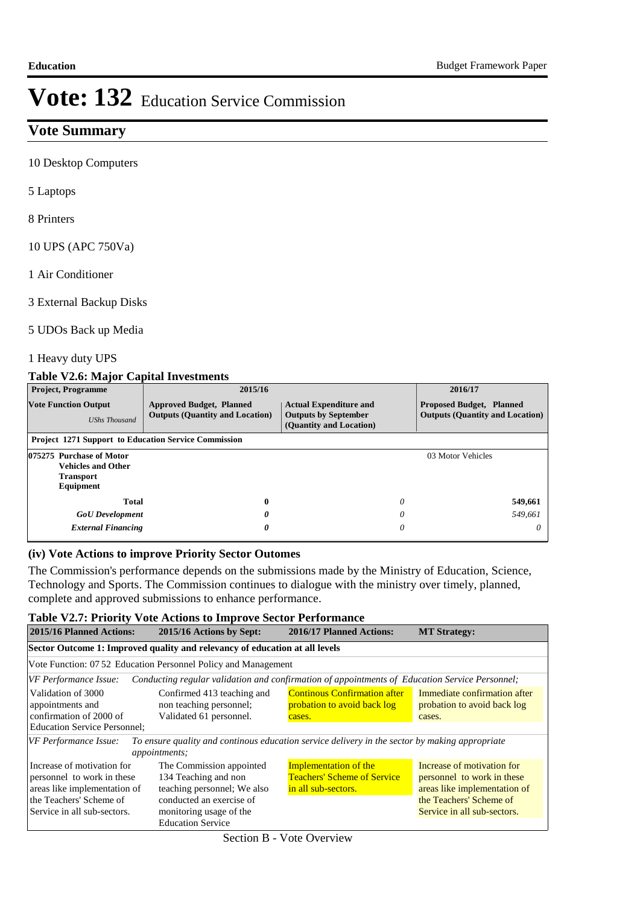## **Vote Summary**

10 Desktop Computers

5 Laptops

8 Printers

10 UPS (APC 750Va)

1 Air Conditioner

3 External Backup Disks

#### 5 UDOs Back up Media

1 Heavy duty UPS

## **Table V2.6: Major Capital Investments**

| <b>Project, Programme</b>                                                              | 2015/16                                                                   |                                                                                         | 2016/17                                                                   |
|----------------------------------------------------------------------------------------|---------------------------------------------------------------------------|-----------------------------------------------------------------------------------------|---------------------------------------------------------------------------|
| <b>Vote Function Output</b><br><b>UShs Thousand</b>                                    | <b>Approved Budget, Planned</b><br><b>Outputs (Quantity and Location)</b> | <b>Actual Expenditure and</b><br><b>Outputs by September</b><br>(Quantity and Location) | <b>Proposed Budget, Planned</b><br><b>Outputs (Quantity and Location)</b> |
| <b>Project 1271 Support to Education Service Commission</b>                            |                                                                           |                                                                                         |                                                                           |
| 075275 Purchase of Motor<br><b>Vehicles and Other</b><br><b>Transport</b><br>Equipment |                                                                           |                                                                                         | 03 Motor Vehicles                                                         |
| <b>Total</b>                                                                           | $\boldsymbol{0}$                                                          | 0                                                                                       | 549,661                                                                   |
| <b>GoU</b> Development                                                                 | 0                                                                         | 0                                                                                       | 549.661                                                                   |
| <b>External Financing</b>                                                              | 0                                                                         | 0                                                                                       | $\theta$                                                                  |

#### **(iv) Vote Actions to improve Priority Sector Outomes**

The Commission's performance depends on the submissions made by the Ministry of Education, Science, Technology and Sports. The Commission continues to dialogue with the ministry over timely, planned, complete and approved submissions to enhance performance.

### **Table V2.7: Priority Vote Actions to Improve Sector Performance**

| 2015/16 Planned Actions:<br>2015/16 Actions by Sept:                                                                                               |                                                                                                                                                                    | 2016/17 Planned Actions:                                                                  | <b>MT Strategy:</b>                                                                                                                                |  |  |  |  |  |  |  |
|----------------------------------------------------------------------------------------------------------------------------------------------------|--------------------------------------------------------------------------------------------------------------------------------------------------------------------|-------------------------------------------------------------------------------------------|----------------------------------------------------------------------------------------------------------------------------------------------------|--|--|--|--|--|--|--|
| Sector Outcome 1: Improved quality and relevancy of education at all levels                                                                        |                                                                                                                                                                    |                                                                                           |                                                                                                                                                    |  |  |  |  |  |  |  |
|                                                                                                                                                    | Vote Function: 07.52 Education Personnel Policy and Management                                                                                                     |                                                                                           |                                                                                                                                                    |  |  |  |  |  |  |  |
| VF Performance Issue:                                                                                                                              | Conducting regular validation and confirmation of appointments of Education Service Personnel;                                                                     |                                                                                           |                                                                                                                                                    |  |  |  |  |  |  |  |
| Validation of 3000<br>appointments and<br>confirmation of 2000 of<br><b>Education Service Personnel:</b>                                           | Confirmed 413 teaching and<br>non teaching personnel;<br>Validated 61 personnel.                                                                                   | <b>Continous Confirmation after</b><br>probation to avoid back log<br>cases.              | Immediate confirmation after<br>probation to avoid back log<br>cases.                                                                              |  |  |  |  |  |  |  |
| VF Performance Issue:                                                                                                                              | To ensure quality and continous education service delivery in the sector by making appropriate<br>appointments;                                                    |                                                                                           |                                                                                                                                                    |  |  |  |  |  |  |  |
| Increase of motivation for<br>personnel to work in these<br>areas like implementation of<br>the Teachers' Scheme of<br>Service in all sub-sectors. | The Commission appointed<br>134 Teaching and non<br>teaching personnel; We also<br>conducted an exercise of<br>monitoring usage of the<br><b>Education Service</b> | <b>Implementation of the</b><br><b>Teachers' Scheme of Service</b><br>in all sub-sectors. | Increase of motivation for<br>personnel to work in these<br>areas like implementation of<br>the Teachers' Scheme of<br>Service in all sub-sectors. |  |  |  |  |  |  |  |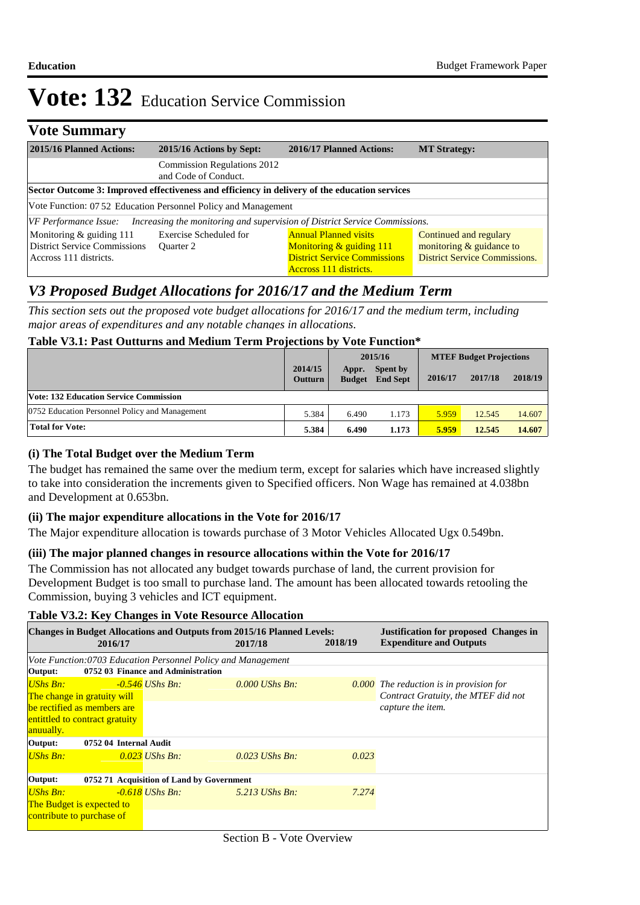## **Vote Summary**

| 2015/16 Planned Actions:                                                                  | 2015/16 Actions by Sept:                                                                                | 2016/17 Planned Actions:                                                                                                    | <b>MT Strategy:</b>                                                                        |  |  |  |  |  |
|-------------------------------------------------------------------------------------------|---------------------------------------------------------------------------------------------------------|-----------------------------------------------------------------------------------------------------------------------------|--------------------------------------------------------------------------------------------|--|--|--|--|--|
|                                                                                           | <b>Commission Regulations 2012</b><br>and Code of Conduct.                                              |                                                                                                                             |                                                                                            |  |  |  |  |  |
|                                                                                           | Sector Outcome 3: Improved effectiveness and efficiency in delivery of the education services           |                                                                                                                             |                                                                                            |  |  |  |  |  |
|                                                                                           | Vote Function: 07.52 Education Personnel Policy and Management                                          |                                                                                                                             |                                                                                            |  |  |  |  |  |
|                                                                                           | $[VF\; Performance\; Issue:$ Increasing the monitoring and supervision of District Service Commissions. |                                                                                                                             |                                                                                            |  |  |  |  |  |
| Monitoring & guiding 111<br><b>District Service Commissions</b><br>Accross 111 districts. | Exercise Scheduled for<br>Ouarter 2                                                                     | <b>Annual Planned visits</b><br>Monitoring $&$ guiding 111<br><b>District Service Commissions</b><br>Accross 111 districts. | Continued and regulary<br>monitoring & guidance to<br><b>District Service Commissions.</b> |  |  |  |  |  |

## *V3 Proposed Budget Allocations for 2016/17 and the Medium Term*

*This section sets out the proposed vote budget allocations for 2016/17 and the medium term, including major areas of expenditures and any notable changes in allocations.* 

## **Table V3.1: Past Outturns and Medium Term Projections by Vote Function\***

|                                                |                           |       | 2015/16                            |         | <b>MTEF Budget Projections</b> |         |  |  |
|------------------------------------------------|---------------------------|-------|------------------------------------|---------|--------------------------------|---------|--|--|
|                                                | 2014/15<br><b>Outturn</b> | Appr. | Spent by<br><b>Budget</b> End Sept | 2016/17 | 2017/18                        | 2018/19 |  |  |
| <b>Vote: 132 Education Service Commission</b>  |                           |       |                                    |         |                                |         |  |  |
| 0752 Education Personnel Policy and Management | 5.384                     | 6.490 | 1.173                              | 5.959   | 12.545                         | 14.607  |  |  |
| <b>Total for Vote:</b>                         | 5.384                     | 6.490 | 1.173                              | 5.959   | 12.545                         | 14.607  |  |  |

### **(i) The Total Budget over the Medium Term**

The budget has remained the same over the medium term, except for salaries which have increased slightly to take into consideration the increments given to Specified officers. Non Wage has remained at 4.038bn and Development at 0.653bn.

#### **(ii) The major expenditure allocations in the Vote for 2016/17**

The Major expenditure allocation is towards purchase of 3 Motor Vehicles Allocated Ugx 0.549bn.

#### **(iii) The major planned changes in resource allocations within the Vote for 2016/17**

The Commission has not allocated any budget towards purchase of land, the current provision for Development Budget is too small to purchase land. The amount has been allocated towards retooling the Commission, buying 3 vehicles and ICT equipment.

#### **Table V3.2: Key Changes in Vote Resource Allocation**

| <b>Changes in Budget Allocations and Outputs from 2015/16 Planned Levels:</b><br>2017/18 | 2018/19                            | <b>Justification for proposed Changes in</b><br><b>Expenditure and Outputs</b> |  |  |  |  |  |
|------------------------------------------------------------------------------------------|------------------------------------|--------------------------------------------------------------------------------|--|--|--|--|--|
| Vote Function:0703 Education Personnel Policy and Management                             |                                    |                                                                                |  |  |  |  |  |
|                                                                                          |                                    |                                                                                |  |  |  |  |  |
| $0.000$ UShs Bn:                                                                         |                                    | $\overline{0.000}$ The reduction is in provision for                           |  |  |  |  |  |
|                                                                                          |                                    | Contract Gratuity, the MTEF did not                                            |  |  |  |  |  |
|                                                                                          |                                    | capture the item.                                                              |  |  |  |  |  |
| entittled to contract gratuity                                                           |                                    |                                                                                |  |  |  |  |  |
|                                                                                          |                                    |                                                                                |  |  |  |  |  |
|                                                                                          |                                    |                                                                                |  |  |  |  |  |
| $0.023$ UShs Bn:                                                                         | 0.023                              |                                                                                |  |  |  |  |  |
|                                                                                          |                                    |                                                                                |  |  |  |  |  |
| Output:<br>0752 71 Acquisition of Land by Government                                     |                                    |                                                                                |  |  |  |  |  |
| $5.213$ UShs Bn:                                                                         | 7.274                              |                                                                                |  |  |  |  |  |
| <b>The Budget is expected to</b>                                                         |                                    |                                                                                |  |  |  |  |  |
|                                                                                          |                                    |                                                                                |  |  |  |  |  |
|                                                                                          | 0752 03 Finance and Administration |                                                                                |  |  |  |  |  |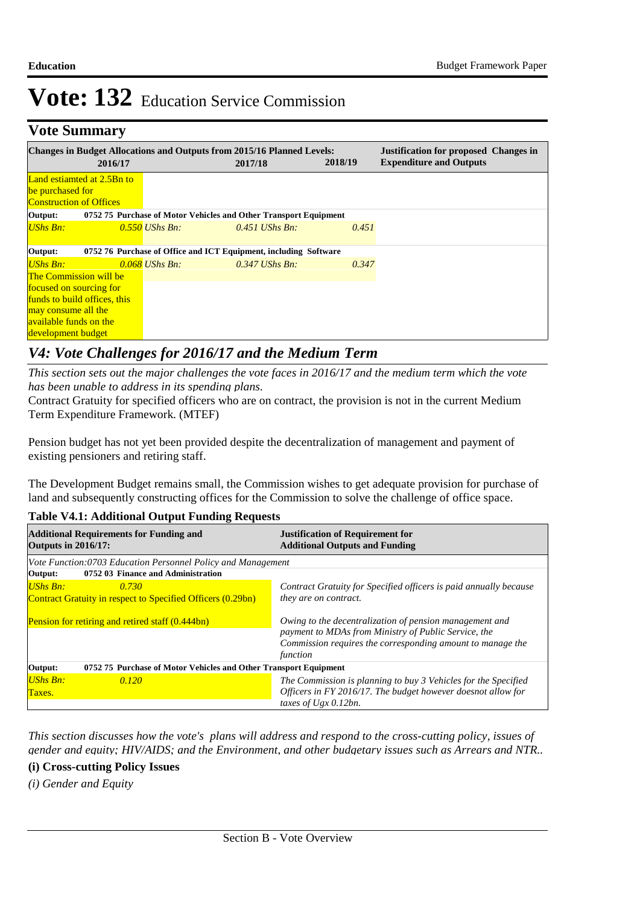# **Vote Summary**

|                                                                             | 2016/17                    |                                                                  | <b>Changes in Budget Allocations and Outputs from 2015/16 Planned Levels:</b><br>2017/18 | 2018/19 | <b>Justification for proposed Changes in</b><br><b>Expenditure and Outputs</b> |  |
|-----------------------------------------------------------------------------|----------------------------|------------------------------------------------------------------|------------------------------------------------------------------------------------------|---------|--------------------------------------------------------------------------------|--|
| be purchased for<br><b>Construction of Offices</b>                          | Land estiamted at 2.5Bn to |                                                                  |                                                                                          |         |                                                                                |  |
| Output:                                                                     |                            | 0752 75 Purchase of Motor Vehicles and Other Transport Equipment |                                                                                          |         |                                                                                |  |
| UShs Bn:                                                                    |                            | $0.550$ UShs Bn:                                                 | $0.451$ UShs Bn.                                                                         | 0.451   |                                                                                |  |
| Output:<br>0752 76 Purchase of Office and ICT Equipment, including Software |                            |                                                                  |                                                                                          |         |                                                                                |  |
| UShs Bn:                                                                    |                            | $0.068$ UShs Bn:                                                 | $0.347$ UShs Bn.                                                                         | 0.347   |                                                                                |  |
| <b>The Commission will be</b>                                               |                            |                                                                  |                                                                                          |         |                                                                                |  |
| focused on sourcing for                                                     |                            |                                                                  |                                                                                          |         |                                                                                |  |
| funds to build offices, this                                                |                            |                                                                  |                                                                                          |         |                                                                                |  |
| may consume all the                                                         |                            |                                                                  |                                                                                          |         |                                                                                |  |
| <b>available funds on the</b>                                               |                            |                                                                  |                                                                                          |         |                                                                                |  |
| development budget                                                          |                            |                                                                  |                                                                                          |         |                                                                                |  |

## *V4: Vote Challenges for 2016/17 and the Medium Term*

*This section sets out the major challenges the vote faces in 2016/17 and the medium term which the vote has been unable to address in its spending plans.*

Contract Gratuity for specified officers who are on contract, the provision is not in the current Medium Term Expenditure Framework. (MTEF)

Pension budget has not yet been provided despite the decentralization of management and payment of existing pensioners and retiring staff.

The Development Budget remains small, the Commission wishes to get adequate provision for purchase of land and subsequently constructing offices for the Commission to solve the challenge of office space.

## **Table V4.1: Additional Output Funding Requests**

| <b>Additional Requirements for Funding and</b><br><b>Outputs in 2016/17:</b>                       | <b>Justification of Requirement for</b><br><b>Additional Outputs and Funding</b>                                                                                                          |  |
|----------------------------------------------------------------------------------------------------|-------------------------------------------------------------------------------------------------------------------------------------------------------------------------------------------|--|
| Vote Function:0703 Education Personnel Policy and Management<br>0752 03 Finance and Administration |                                                                                                                                                                                           |  |
| Output:<br><b>UShs Bn:</b><br>0.730<br>Contract Gratuity in respect to Specified Officers (0.29bn) | Contract Gratuity for Specified officers is paid annually because<br>they are on contract.                                                                                                |  |
| Pension for retiring and retired staff (0.444bn)                                                   | Owing to the decentralization of pension management and<br>payment to MDAs from Ministry of Public Service, the<br>Commission requires the corresponding amount to manage the<br>function |  |
| 0752 75 Purchase of Motor Vehicles and Other Transport Equipment<br>Output:                        |                                                                                                                                                                                           |  |
| <b>UShs Bn:</b><br>0.120<br>Taxes.                                                                 | The Commission is planning to buy 3 Vehicles for the Specified<br>Officers in FY 2016/17. The budget however doesnot allow for<br>taxes of $Ugx$ 0.12bn.                                  |  |

*This section discusses how the vote's plans will address and respond to the cross-cutting policy, issues of gender and equity; HIV/AIDS; and the Environment, and other budgetary issues such as Arrears and NTR..* 

#### **(i) Cross-cutting Policy Issues**

*(i) Gender and Equity*